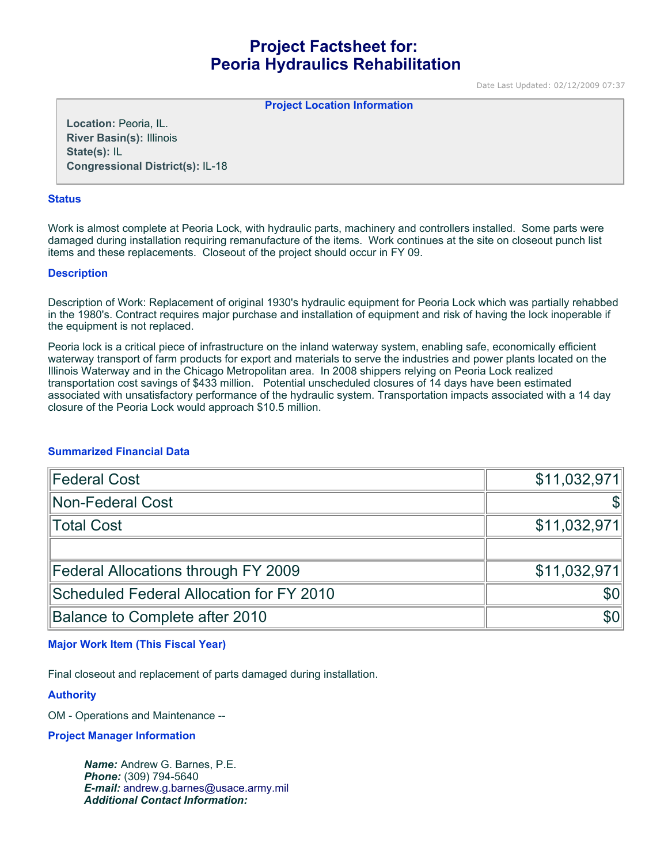# **Project Factsheet for: Peoria Hydraulics Rehabilitation**

Date Last Updated: 02/12/2009 07:37

#### **Project Location Information**

**Location:** Peoria, IL. **River Basin(s):** Illinois **State(s):** IL **Congressional District(s):** IL-18

#### **Status**

Work is almost complete at Peoria Lock, with hydraulic parts, machinery and controllers installed. Some parts were damaged during installation requiring remanufacture of the items. Work continues at the site on closeout punch list items and these replacements. Closeout of the project should occur in FY 09.

### **Description**

Description of Work: Replacement of original 1930's hydraulic equipment for Peoria Lock which was partially rehabbed in the 1980's. Contract requires major purchase and installation of equipment and risk of having the lock inoperable if the equipment is not replaced.

Peoria lock is a critical piece of infrastructure on the inland waterway system, enabling safe, economically efficient waterway transport of farm products for export and materials to serve the industries and power plants located on the Illinois Waterway and in the Chicago Metropolitan area. In 2008 shippers relying on Peoria Lock realized transportation cost savings of \$433 million. Potential unscheduled closures of 14 days have been estimated associated with unsatisfactory performance of the hydraulic system. Transportation impacts associated with a 14 day closure of the Peoria Lock would approach \$10.5 million.

# **Summarized Financial Data**

| <b>Federal Cost</b>                      | \$11,032,971 |
|------------------------------------------|--------------|
| Non-Federal Cost                         |              |
| Total Cost                               | \$11,032,971 |
|                                          |              |
| Federal Allocations through FY 2009      | \$11,032,971 |
| Scheduled Federal Allocation for FY 2010 | \$0          |
| Balance to Complete after 2010           | \$0          |

# **Major Work Item (This Fiscal Year)**

Final closeout and replacement of parts damaged during installation.

### **Authority**

OM - Operations and Maintenance --

# **Project Manager Information**

*Name:* Andrew G. Barnes, P.E. *Phone:* (309) 794-5640 *E-mail:* [andrew.g.barnes@usace.army.mil](mailto:andrew.g.barnes@usace.army.mil) *Additional Contact Information:*